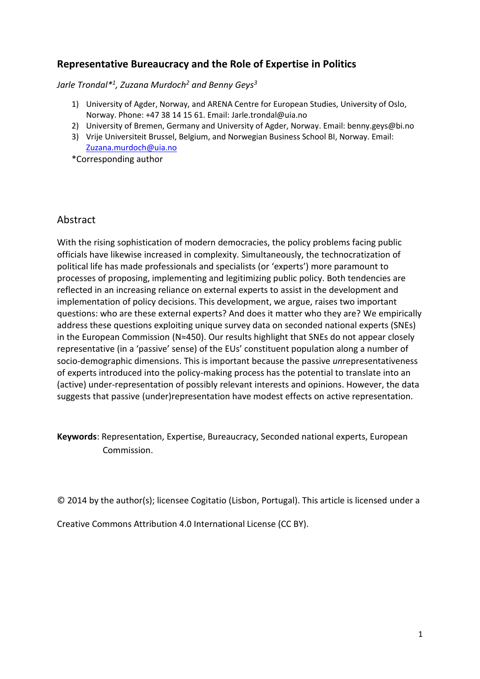# **Representative Bureaucracy and the Role of Expertise in Politics**

*Jarle Trondal\* 1 , Zuzana Murdoch<sup>2</sup> and Benny Geys<sup>3</sup>*

- 1) University of Agder, Norway, and ARENA Centre for European Studies, University of Oslo, Norway. Phone: +47 38 14 15 61. Email: Jarle.trondal@uia.no
- 2) University of Bremen, Germany and University of Agder, Norway. Email: benny.geys@bi.no
- 3) Vrije Universiteit Brussel, Belgium, and Norwegian Business School BI, Norway. Email: [Zuzana.murdoch@uia.no](mailto:Zuzana.murdoch@uia.no)

\*Corresponding author

# Abstract

With the rising sophistication of modern democracies, the policy problems facing public officials have likewise increased in complexity. Simultaneously, the technocratization of political life has made professionals and specialists (or 'experts') more paramount to processes of proposing, implementing and legitimizing public policy. Both tendencies are reflected in an increasing reliance on external experts to assist in the development and implementation of policy decisions. This development, we argue, raises two important questions: who are these external experts? And does it matter who they are? We empirically address these questions exploiting unique survey data on seconded national experts (SNEs) in the European Commission (N≈450). Our results highlight that SNEs do not appear closely representative (in a 'passive' sense) of the EUs' constituent population along a number of socio-demographic dimensions. This is important because the passive *un*representativeness of experts introduced into the policy-making process has the potential to translate into an (active) under-representation of possibly relevant interests and opinions. However, the data suggests that passive (under)representation have modest effects on active representation.

**Keywords**: Representation, Expertise, Bureaucracy, Seconded national experts, European Commission.

© 2014 by the author(s); licensee Cogitatio (Lisbon, Portugal). This article is licensed under a

Creative Commons Attribution 4.0 International License (CC BY).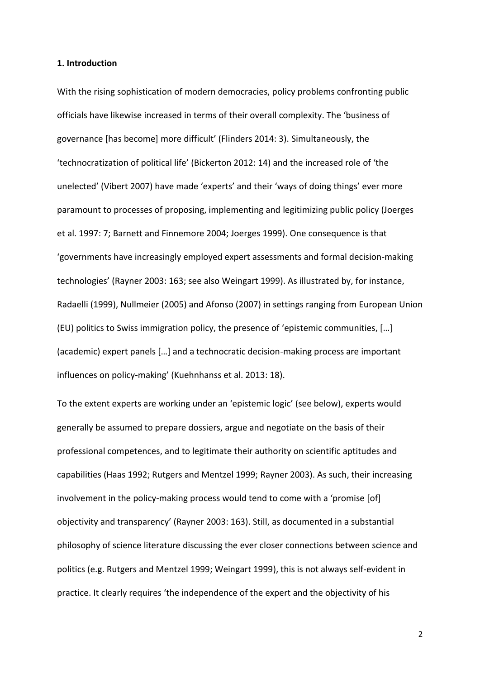#### **1. Introduction**

With the rising sophistication of modern democracies, policy problems confronting public officials have likewise increased in terms of their overall complexity. The 'business of governance [has become] more difficult' (Flinders 2014: 3). Simultaneously, the 'technocratization of political life' (Bickerton 2012: 14) and the increased role of 'the unelected' (Vibert 2007) have made 'experts' and their 'ways of doing things' ever more paramount to processes of proposing, implementing and legitimizing public policy (Joerges et al. 1997: 7; Barnett and Finnemore 2004; Joerges 1999). One consequence is that 'governments have increasingly employed expert assessments and formal decision-making technologies' (Rayner 2003: 163; see also Weingart 1999). As illustrated by, for instance, Radaelli (1999), Nullmeier (2005) and Afonso (2007) in settings ranging from European Union (EU) politics to Swiss immigration policy, the presence of 'epistemic communities, […] (academic) expert panels […] and a technocratic decision-making process are important influences on policy-making' (Kuehnhanss et al. 2013: 18).

To the extent experts are working under an 'epistemic logic' (see below), experts would generally be assumed to prepare dossiers, argue and negotiate on the basis of their professional competences, and to legitimate their authority on scientific aptitudes and capabilities (Haas 1992; Rutgers and Mentzel 1999; Rayner 2003). As such, their increasing involvement in the policy-making process would tend to come with a 'promise [of] objectivity and transparency' (Rayner 2003: 163). Still, as documented in a substantial philosophy of science literature discussing the ever closer connections between science and politics (e.g. Rutgers and Mentzel 1999; Weingart 1999), this is not always self-evident in practice. It clearly requires 'the independence of the expert and the objectivity of his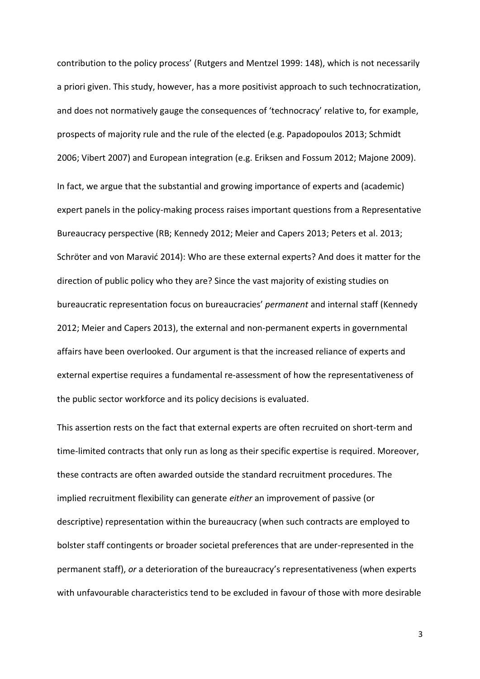contribution to the policy process' (Rutgers and Mentzel 1999: 148), which is not necessarily a priori given. This study, however, has a more positivist approach to such technocratization, and does not normatively gauge the consequences of 'technocracy' relative to, for example, prospects of majority rule and the rule of the elected (e.g. Papadopoulos 2013; Schmidt 2006; Vibert 2007) and European integration (e.g. Eriksen and Fossum 2012; Majone 2009). In fact, we argue that the substantial and growing importance of experts and (academic) expert panels in the policy-making process raises important questions from a Representative Bureaucracy perspective (RB; Kennedy 2012; Meier and Capers 2013; Peters et al. 2013; Schröter and von Maravić 2014): Who are these external experts? And does it matter for the direction of public policy who they are? Since the vast majority of existing studies on bureaucratic representation focus on bureaucracies' *permanent* and internal staff (Kennedy 2012; Meier and Capers 2013), the external and non-permanent experts in governmental affairs have been overlooked. Our argument is that the increased reliance of experts and external expertise requires a fundamental re-assessment of how the representativeness of the public sector workforce and its policy decisions is evaluated.

This assertion rests on the fact that external experts are often recruited on short-term and time-limited contracts that only run as long as their specific expertise is required. Moreover, these contracts are often awarded outside the standard recruitment procedures. The implied recruitment flexibility can generate *either* an improvement of passive (or descriptive) representation within the bureaucracy (when such contracts are employed to bolster staff contingents or broader societal preferences that are under-represented in the permanent staff), *or* a deterioration of the bureaucracy's representativeness (when experts with unfavourable characteristics tend to be excluded in favour of those with more desirable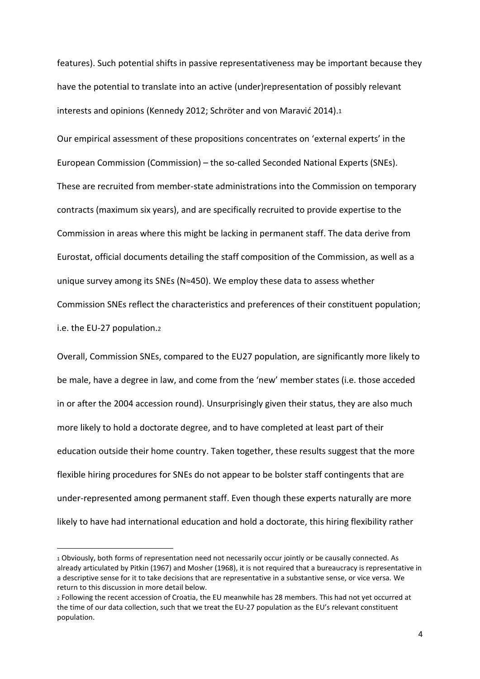features). Such potential shifts in passive representativeness may be important because they have the potential to translate into an active (under)representation of possibly relevant interests and opinions (Kennedy 2012; Schröter and von Maravić 2014).<sup>1</sup>

Our empirical assessment of these propositions concentrates on 'external experts' in the European Commission (Commission) – the so-called Seconded National Experts (SNEs). These are recruited from member-state administrations into the Commission on temporary contracts (maximum six years), and are specifically recruited to provide expertise to the Commission in areas where this might be lacking in permanent staff. The data derive from Eurostat, official documents detailing the staff composition of the Commission, as well as a unique survey among its SNEs (N≈450). We employ these data to assess whether Commission SNEs reflect the characteristics and preferences of their constituent population; i.e. the EU-27 population.<sup>2</sup>

Overall, Commission SNEs, compared to the EU27 population, are significantly more likely to be male, have a degree in law, and come from the 'new' member states (i.e. those acceded in or after the 2004 accession round). Unsurprisingly given their status, they are also much more likely to hold a doctorate degree, and to have completed at least part of their education outside their home country. Taken together, these results suggest that the more flexible hiring procedures for SNEs do not appear to be bolster staff contingents that are under-represented among permanent staff. Even though these experts naturally are more likely to have had international education and hold a doctorate, this hiring flexibility rather

<sup>1</sup> Obviously, both forms of representation need not necessarily occur jointly or be causally connected. As already articulated by Pitkin (1967) and Mosher (1968), it is not required that a bureaucracy is representative in a descriptive sense for it to take decisions that are representative in a substantive sense, or vice versa. We return to this discussion in more detail below.

<sup>2</sup> Following the recent accession of Croatia, the EU meanwhile has 28 members. This had not yet occurred at the time of our data collection, such that we treat the EU-27 population as the EU's relevant constituent population.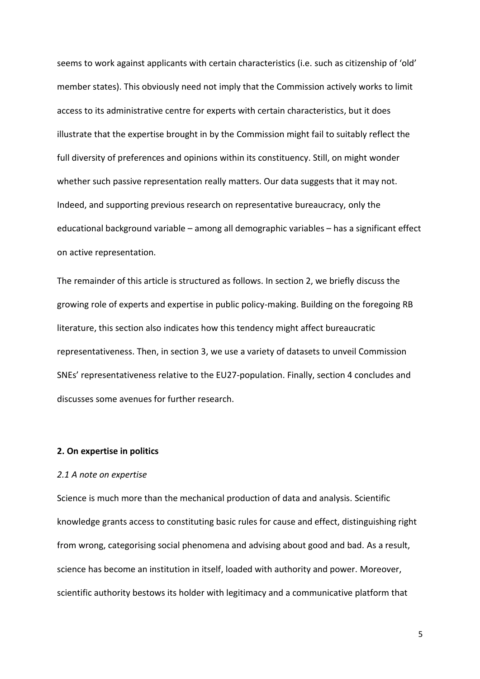seems to work against applicants with certain characteristics (i.e. such as citizenship of 'old' member states). This obviously need not imply that the Commission actively works to limit access to its administrative centre for experts with certain characteristics, but it does illustrate that the expertise brought in by the Commission might fail to suitably reflect the full diversity of preferences and opinions within its constituency. Still, on might wonder whether such passive representation really matters. Our data suggests that it may not. Indeed, and supporting previous research on representative bureaucracy, only the educational background variable – among all demographic variables – has a significant effect on active representation.

The remainder of this article is structured as follows. In section 2, we briefly discuss the growing role of experts and expertise in public policy-making. Building on the foregoing RB literature, this section also indicates how this tendency might affect bureaucratic representativeness. Then, in section 3, we use a variety of datasets to unveil Commission SNEs' representativeness relative to the EU27-population. Finally, section 4 concludes and discusses some avenues for further research.

### **2. On expertise in politics**

#### *2.1 A note on expertise*

Science is much more than the mechanical production of data and analysis. Scientific knowledge grants access to constituting basic rules for cause and effect, distinguishing right from wrong, categorising social phenomena and advising about good and bad. As a result, science has become an institution in itself, loaded with authority and power. Moreover, scientific authority bestows its holder with legitimacy and a communicative platform that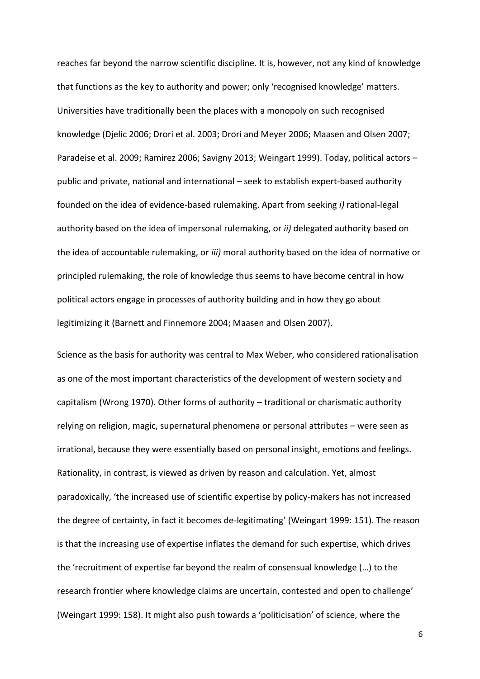reaches far beyond the narrow scientific discipline. It is, however, not any kind of knowledge that functions as the key to authority and power; only 'recognised knowledge' matters. Universities have traditionally been the places with a monopoly on such recognised knowledge (Djelic 2006; Drori et al. 2003; Drori and Meyer 2006; Maasen and Olsen 2007; Paradeise et al. 2009; Ramirez 2006; Savigny 2013; Weingart 1999). Today, political actors – public and private, national and international – seek to establish expert-based authority founded on the idea of evidence-based rulemaking. Apart from seeking *i)* rational-legal authority based on the idea of impersonal rulemaking, or *ii)* delegated authority based on the idea of accountable rulemaking, or *iii)* moral authority based on the idea of normative or principled rulemaking, the role of knowledge thus seems to have become central in how political actors engage in processes of authority building and in how they go about legitimizing it (Barnett and Finnemore 2004; Maasen and Olsen 2007).

Science as the basis for authority was central to Max Weber, who considered rationalisation as one of the most important characteristics of the development of western society and capitalism (Wrong 1970). Other forms of authority – traditional or charismatic authority relying on religion, magic, supernatural phenomena or personal attributes – were seen as irrational, because they were essentially based on personal insight, emotions and feelings. Rationality, in contrast, is viewed as driven by reason and calculation. Yet, almost paradoxically, 'the increased use of scientific expertise by policy-makers has not increased the degree of certainty, in fact it becomes de-legitimating' (Weingart 1999: 151). The reason is that the increasing use of expertise inflates the demand for such expertise, which drives the 'recruitment of expertise far beyond the realm of consensual knowledge (…) to the research frontier where knowledge claims are uncertain, contested and open to challenge' (Weingart 1999: 158). It might also push towards a 'politicisation' of science, where the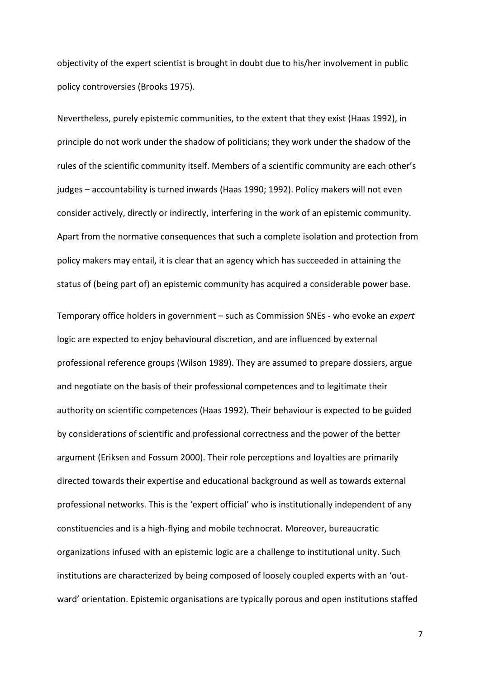objectivity of the expert scientist is brought in doubt due to his/her involvement in public policy controversies (Brooks 1975).

Nevertheless, purely epistemic communities, to the extent that they exist (Haas 1992), in principle do not work under the shadow of politicians; they work under the shadow of the rules of the scientific community itself. Members of a scientific community are each other's judges – accountability is turned inwards (Haas 1990; 1992). Policy makers will not even consider actively, directly or indirectly, interfering in the work of an epistemic community. Apart from the normative consequences that such a complete isolation and protection from policy makers may entail, it is clear that an agency which has succeeded in attaining the status of (being part of) an epistemic community has acquired a considerable power base.

Temporary office holders in government – such as Commission SNEs - who evoke an *expert* logic are expected to enjoy behavioural discretion, and are influenced by external professional reference groups (Wilson 1989). They are assumed to prepare dossiers, argue and negotiate on the basis of their professional competences and to legitimate their authority on scientific competences (Haas 1992). Their behaviour is expected to be guided by considerations of scientific and professional correctness and the power of the better argument (Eriksen and Fossum 2000). Their role perceptions and loyalties are primarily directed towards their expertise and educational background as well as towards external professional networks. This is the 'expert official' who is institutionally independent of any constituencies and is a high-flying and mobile technocrat. Moreover, bureaucratic organizations infused with an epistemic logic are a challenge to institutional unity. Such institutions are characterized by being composed of loosely coupled experts with an 'outward' orientation. Epistemic organisations are typically porous and open institutions staffed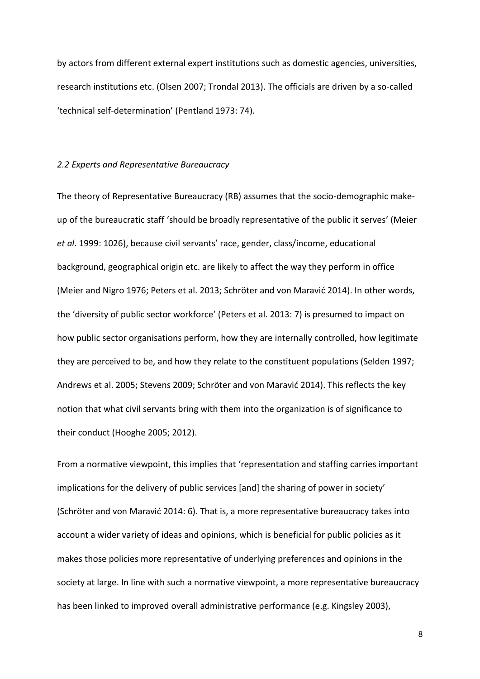by actors from different external expert institutions such as domestic agencies, universities, research institutions etc. (Olsen 2007; Trondal 2013). The officials are driven by a so-called 'technical self-determination' (Pentland 1973: 74).

## *2.2 Experts and Representative Bureaucracy*

The theory of Representative Bureaucracy (RB) assumes that the socio-demographic makeup of the bureaucratic staff 'should be broadly representative of the public it serves' (Meier *et al*. 1999: 1026), because civil servants' race, gender, class/income, educational background, geographical origin etc. are likely to affect the way they perform in office (Meier and Nigro 1976; Peters et al. 2013; Schröter and von Maravić 2014). In other words, the 'diversity of public sector workforce' (Peters et al. 2013: 7) is presumed to impact on how public sector organisations perform, how they are internally controlled, how legitimate they are perceived to be, and how they relate to the constituent populations (Selden 1997; Andrews et al. 2005; Stevens 2009; Schröter and von Maravić 2014). This reflects the key notion that what civil servants bring with them into the organization is of significance to their conduct (Hooghe 2005; 2012).

From a normative viewpoint, this implies that 'representation and staffing carries important implications for the delivery of public services [and] the sharing of power in society' (Schröter and von Maravić 2014: 6). That is, a more representative bureaucracy takes into account a wider variety of ideas and opinions, which is beneficial for public policies as it makes those policies more representative of underlying preferences and opinions in the society at large. In line with such a normative viewpoint, a more representative bureaucracy has been linked to improved overall administrative performance (e.g. Kingsley 2003),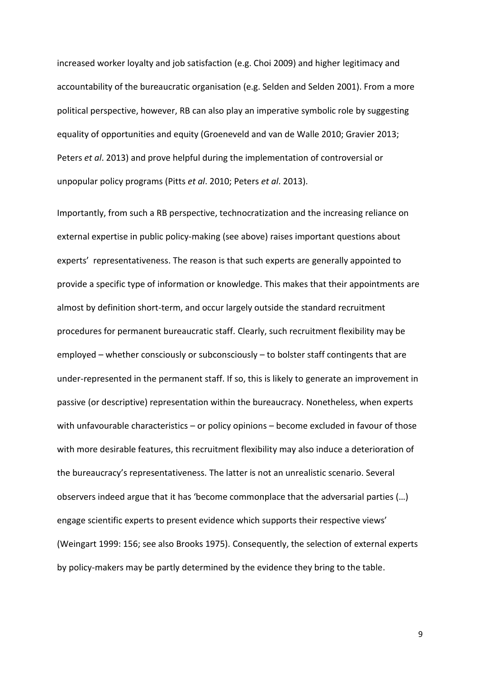increased worker loyalty and job satisfaction (e.g. Choi 2009) and higher legitimacy and accountability of the bureaucratic organisation (e.g. Selden and Selden 2001). From a more political perspective, however, RB can also play an imperative symbolic role by suggesting equality of opportunities and equity (Groeneveld and van de Walle 2010; Gravier 2013; Peters *et al*. 2013) and prove helpful during the implementation of controversial or unpopular policy programs (Pitts *et al*. 2010; Peters *et al*. 2013).

Importantly, from such a RB perspective, technocratization and the increasing reliance on external expertise in public policy-making (see above) raises important questions about experts' representativeness. The reason is that such experts are generally appointed to provide a specific type of information or knowledge. This makes that their appointments are almost by definition short-term, and occur largely outside the standard recruitment procedures for permanent bureaucratic staff. Clearly, such recruitment flexibility may be employed – whether consciously or subconsciously – to bolster staff contingents that are under-represented in the permanent staff. If so, this is likely to generate an improvement in passive (or descriptive) representation within the bureaucracy. Nonetheless, when experts with unfavourable characteristics – or policy opinions – become excluded in favour of those with more desirable features, this recruitment flexibility may also induce a deterioration of the bureaucracy's representativeness. The latter is not an unrealistic scenario. Several observers indeed argue that it has 'become commonplace that the adversarial parties (…) engage scientific experts to present evidence which supports their respective views' (Weingart 1999: 156; see also Brooks 1975). Consequently, the selection of external experts by policy-makers may be partly determined by the evidence they bring to the table.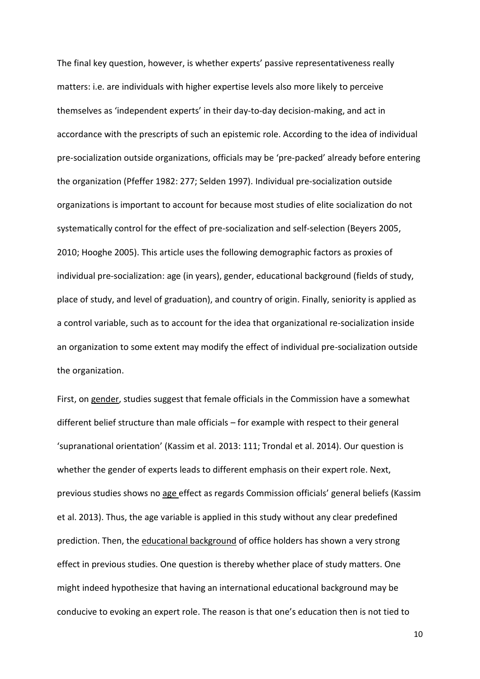The final key question, however, is whether experts' passive representativeness really matters: i.e. are individuals with higher expertise levels also more likely to perceive themselves as 'independent experts' in their day-to-day decision-making, and act in accordance with the prescripts of such an epistemic role. According to the idea of individual pre-socialization outside organizations, officials may be 'pre-packed' already before entering the organization (Pfeffer 1982: 277; Selden 1997). Individual pre-socialization outside organizations is important to account for because most studies of elite socialization do not systematically control for the effect of pre-socialization and self-selection (Beyers 2005, 2010; Hooghe 2005). This article uses the following demographic factors as proxies of individual pre-socialization: age (in years), gender, educational background (fields of study, place of study, and level of graduation), and country of origin. Finally, seniority is applied as a control variable, such as to account for the idea that organizational re-socialization inside an organization to some extent may modify the effect of individual pre-socialization outside the organization.

First, on gender, studies suggest that female officials in the Commission have a somewhat different belief structure than male officials – for example with respect to their general 'supranational orientation' (Kassim et al. 2013: 111; Trondal et al. 2014). Our question is whether the gender of experts leads to different emphasis on their expert role. Next, previous studies shows no age effect as regards Commission officials' general beliefs (Kassim et al. 2013). Thus, the age variable is applied in this study without any clear predefined prediction. Then, the educational background of office holders has shown a very strong effect in previous studies. One question is thereby whether place of study matters. One might indeed hypothesize that having an international educational background may be conducive to evoking an expert role. The reason is that one's education then is not tied to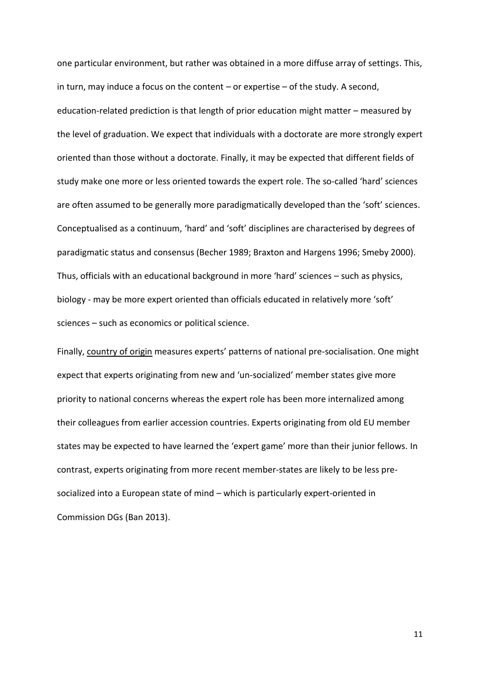one particular environment, but rather was obtained in a more diffuse array of settings. This, in turn, may induce a focus on the content – or expertise – of the study. A second, education-related prediction is that length of prior education might matter – measured by the level of graduation. We expect that individuals with a doctorate are more strongly expert oriented than those without a doctorate. Finally, it may be expected that different fields of study make one more or less oriented towards the expert role. The so-called 'hard' sciences are often assumed to be generally more paradigmatically developed than the 'soft' sciences. Conceptualised as a continuum, 'hard' and 'soft' disciplines are characterised by degrees of paradigmatic status and consensus (Becher 1989; Braxton and Hargens 1996; Smeby 2000). Thus, officials with an educational background in more 'hard' sciences – such as physics, biology - may be more expert oriented than officials educated in relatively more 'soft' sciences – such as economics or political science.

Finally, country of origin measures experts' patterns of national pre-socialisation. One might expect that experts originating from new and 'un-socialized' member states give more priority to national concerns whereas the expert role has been more internalized among their colleagues from earlier accession countries. Experts originating from old EU member states may be expected to have learned the 'expert game' more than their junior fellows. In contrast, experts originating from more recent member-states are likely to be less presocialized into a European state of mind – which is particularly expert-oriented in Commission DGs (Ban 2013).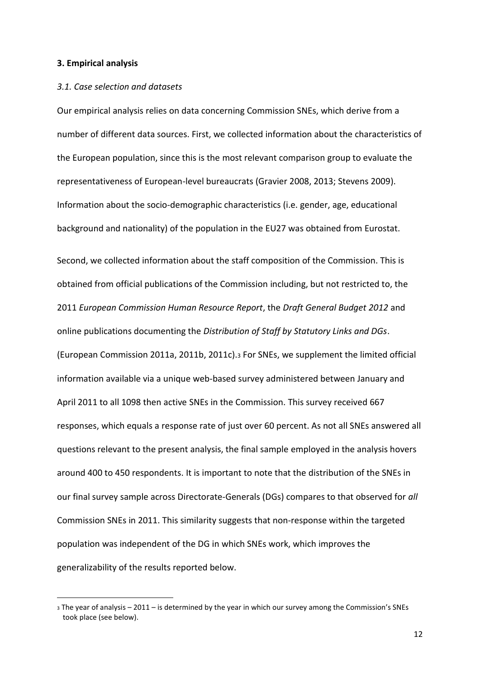#### **3. Empirical analysis**

1

### *3.1. Case selection and datasets*

Our empirical analysis relies on data concerning Commission SNEs, which derive from a number of different data sources. First, we collected information about the characteristics of the European population, since this is the most relevant comparison group to evaluate the representativeness of European-level bureaucrats (Gravier 2008, 2013; Stevens 2009). Information about the socio-demographic characteristics (i.e. gender, age, educational background and nationality) of the population in the EU27 was obtained from Eurostat.

Second, we collected information about the staff composition of the Commission. This is obtained from official publications of the Commission including, but not restricted to, the 2011 *European Commission Human Resource Report*, the *Draft General Budget 2012* and online publications documenting the *Distribution of Staff by Statutory Links and DGs*. (European Commission 2011a, 2011b, 2011c).<sup>3</sup> For SNEs, we supplement the limited official information available via a unique web-based survey administered between January and April 2011 to all 1098 then active SNEs in the Commission. This survey received 667 responses, which equals a response rate of just over 60 percent. As not all SNEs answered all questions relevant to the present analysis, the final sample employed in the analysis hovers around 400 to 450 respondents. It is important to note that the distribution of the SNEs in our final survey sample across Directorate-Generals (DGs) compares to that observed for *all* Commission SNEs in 2011. This similarity suggests that non-response within the targeted population was independent of the DG in which SNEs work, which improves the generalizability of the results reported below.

<sup>3</sup> The year of analysis – 2011 – is determined by the year in which our survey among the Commission's SNEs took place (see below).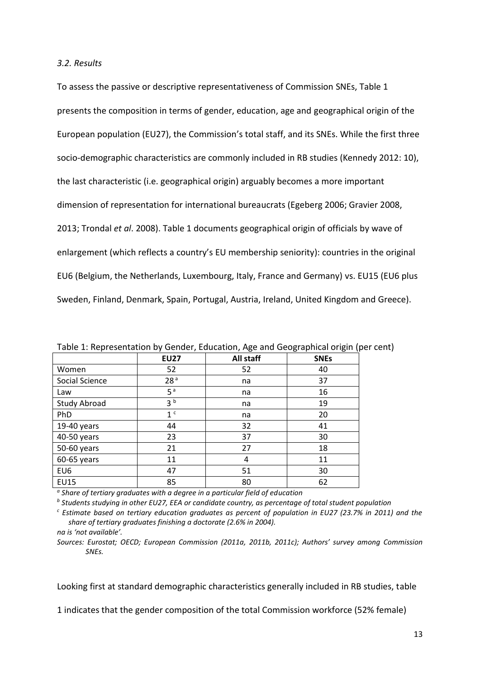#### *3.2. Results*

To assess the passive or descriptive representativeness of Commission SNEs, Table 1 presents the composition in terms of gender, education, age and geographical origin of the European population (EU27), the Commission's total staff, and its SNEs. While the first three socio-demographic characteristics are commonly included in RB studies (Kennedy 2012: 10), the last characteristic (i.e. geographical origin) arguably becomes a more important dimension of representation for international bureaucrats (Egeberg 2006; Gravier 2008, 2013; Trondal *et al*. 2008). Table 1 documents geographical origin of officials by wave of enlargement (which reflects a country's EU membership seniority): countries in the original EU6 (Belgium, the Netherlands, Luxembourg, Italy, France and Germany) vs. EU15 (EU6 plus Sweden, Finland, Denmark, Spain, Portugal, Austria, Ireland, United Kingdom and Greece).

|                     | ,               | ັ                | ັ<br>ັ<br>`` |
|---------------------|-----------------|------------------|--------------|
|                     | <b>EU27</b>     | <b>All staff</b> | <b>SNEs</b>  |
| Women               | 52              | 52               | 40           |
| Social Science      | 28 <sup>a</sup> | na               | 37           |
| Law                 | 5 <sup>a</sup>  | na               | 16           |
| <b>Study Abroad</b> | 3 <sup>b</sup>  | na               | 19           |
| PhD                 | 1 <sup>c</sup>  | na               | 20           |
| 19-40 years         | 44              | 32               | 41           |
| 40-50 years         | 23              | 37               | 30           |
| 50-60 years         | 21              | 27               | 18           |
| 60-65 years         | 11              | 4                | 11           |
| EU6                 | 47              | 51               | 30           |
| <b>EU15</b>         | 85              | 80               | 62           |

Table 1: Representation by Gender, Education, Age and Geographical origin (per cent)

*a Share of tertiary graduates with a degree in a particular field of education*

*b Students studying in other EU27, EEA or candidate country, as percentage of total student population* 

*<sup>c</sup> Estimate based on tertiary education graduates as percent of population in EU27 (23.7% in 2011) and the share of tertiary graduates finishing a doctorate (2.6% in 2004).*

*na is 'not available'.*

*Sources: Eurostat; OECD; European Commission (2011a, 2011b, 2011c); Authors' survey among Commission SNEs.*

Looking first at standard demographic characteristics generally included in RB studies, table

1 indicates that the gender composition of the total Commission workforce (52% female)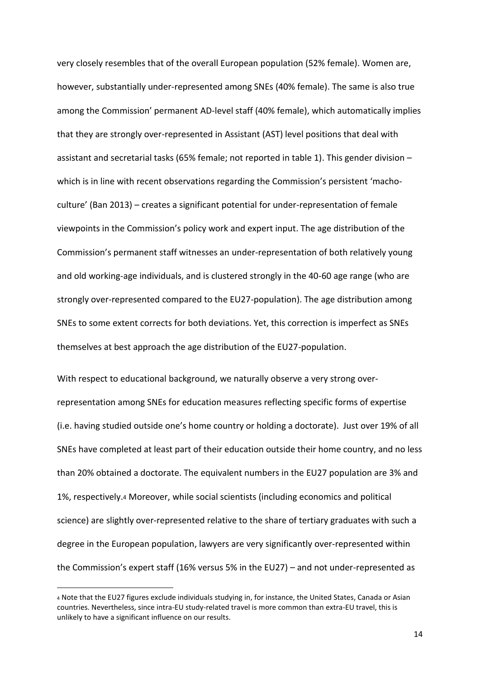very closely resembles that of the overall European population (52% female). Women are, however, substantially under-represented among SNEs (40% female). The same is also true among the Commission' permanent AD-level staff (40% female), which automatically implies that they are strongly over-represented in Assistant (AST) level positions that deal with assistant and secretarial tasks (65% female; not reported in table 1). This gender division – which is in line with recent observations regarding the Commission's persistent 'machoculture' (Ban 2013) – creates a significant potential for under-representation of female viewpoints in the Commission's policy work and expert input. The age distribution of the Commission's permanent staff witnesses an under-representation of both relatively young and old working-age individuals, and is clustered strongly in the 40-60 age range (who are strongly over-represented compared to the EU27-population). The age distribution among SNEs to some extent corrects for both deviations. Yet, this correction is imperfect as SNEs themselves at best approach the age distribution of the EU27-population.

With respect to educational background, we naturally observe a very strong overrepresentation among SNEs for education measures reflecting specific forms of expertise (i.e. having studied outside one's home country or holding a doctorate). Just over 19% of all SNEs have completed at least part of their education outside their home country, and no less than 20% obtained a doctorate. The equivalent numbers in the EU27 population are 3% and 1%, respectively.<sup>4</sup> Moreover, while social scientists (including economics and political science) are slightly over-represented relative to the share of tertiary graduates with such a degree in the European population, lawyers are very significantly over-represented within the Commission's expert staff (16% versus 5% in the EU27) – and not under-represented as

**.** 

<sup>4</sup> Note that the EU27 figures exclude individuals studying in, for instance, the United States, Canada or Asian countries. Nevertheless, since intra-EU study-related travel is more common than extra-EU travel, this is unlikely to have a significant influence on our results.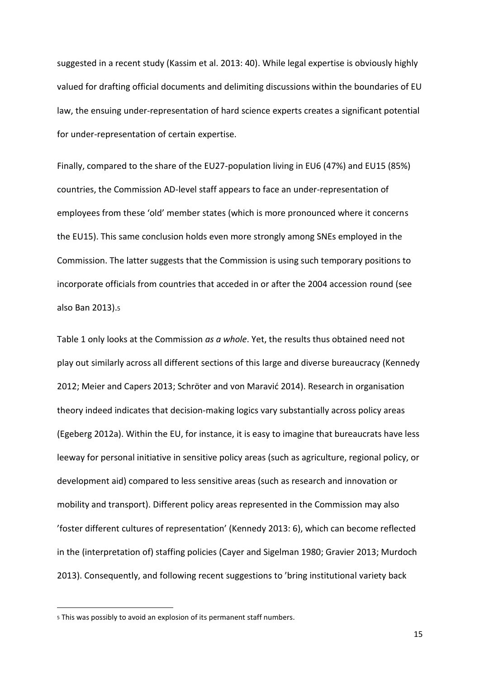suggested in a recent study (Kassim et al. 2013: 40). While legal expertise is obviously highly valued for drafting official documents and delimiting discussions within the boundaries of EU law, the ensuing under-representation of hard science experts creates a significant potential for under-representation of certain expertise.

Finally, compared to the share of the EU27-population living in EU6 (47%) and EU15 (85%) countries, the Commission AD-level staff appears to face an under-representation of employees from these 'old' member states (which is more pronounced where it concerns the EU15). This same conclusion holds even more strongly among SNEs employed in the Commission. The latter suggests that the Commission is using such temporary positions to incorporate officials from countries that acceded in or after the 2004 accession round (see also Ban 2013).<sup>5</sup>

Table 1 only looks at the Commission *as a whole*. Yet, the results thus obtained need not play out similarly across all different sections of this large and diverse bureaucracy (Kennedy 2012; Meier and Capers 2013; Schröter and von Maravić 2014). Research in organisation theory indeed indicates that decision-making logics vary substantially across policy areas (Egeberg 2012a). Within the EU, for instance, it is easy to imagine that bureaucrats have less leeway for personal initiative in sensitive policy areas (such as agriculture, regional policy, or development aid) compared to less sensitive areas (such as research and innovation or mobility and transport). Different policy areas represented in the Commission may also 'foster different cultures of representation' (Kennedy 2013: 6), which can become reflected in the (interpretation of) staffing policies (Cayer and Sigelman 1980; Gravier 2013; Murdoch 2013). Consequently, and following recent suggestions to 'bring institutional variety back

**.** 

<sup>5</sup> This was possibly to avoid an explosion of its permanent staff numbers.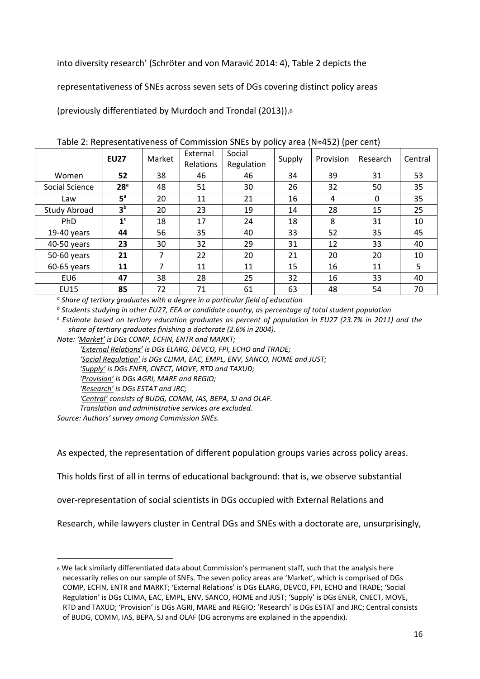into diversity research' (Schröter and von Maravić 2014: 4), Table 2 depicts the

representativeness of SNEs across seven sets of DGs covering distinct policy areas

(previously differentiated by Murdoch and Trondal (2013)).<sup>6</sup>

|                     |                 | Market | External  | Social     | $1800$ $\leq$ $11000$ coefficiely effective commission of the $\frac{1}{2}$ of policy and $\frac{1}{2}$ (i.e. $\frac{1}{2}$ (i.e. $\frac{1}{2}$ comer<br>Provision<br>Supply |    |          |         |
|---------------------|-----------------|--------|-----------|------------|------------------------------------------------------------------------------------------------------------------------------------------------------------------------------|----|----------|---------|
|                     | <b>EU27</b>     |        | Relations |            |                                                                                                                                                                              |    | Research | Central |
|                     |                 |        |           | Regulation |                                                                                                                                                                              |    |          |         |
| Women               | 52              | 38     | 46        | 46         | 34                                                                                                                                                                           | 39 | 31       | 53      |
| Social Science      | 28 <sup>a</sup> | 48     | 51        | 30         | 26                                                                                                                                                                           | 32 | 50       | 35      |
| Law                 | 5 <sup>a</sup>  | 20     | 11        | 21         | 16                                                                                                                                                                           | 4  | 0        | 35      |
| <b>Study Abroad</b> | 3 <sup>b</sup>  | 20     | 23        | 19         | 14                                                                                                                                                                           | 28 | 15       | 25      |
| PhD                 | 1 <sup>c</sup>  | 18     | 17        | 24         | 18                                                                                                                                                                           | 8  | 31       | 10      |
| $19-40$ years       | 44              | 56     | 35        | 40         | 33                                                                                                                                                                           | 52 | 35       | 45      |
| 40-50 years         | 23              | 30     | 32        | 29         | 31                                                                                                                                                                           | 12 | 33       | 40      |
| 50-60 years         | 21              | 7      | 22        | 20         | 21                                                                                                                                                                           | 20 | 20       | 10      |
| 60-65 years         | 11              | 7      | 11        | 11         | 15                                                                                                                                                                           | 16 | 11       | 5       |
| EU <sub>6</sub>     | 47              | 38     | 28        | 25         | 32                                                                                                                                                                           | 16 | 33       | 40      |
| <b>EU15</b>         | 85              | 72     | 71        | 61         | 63                                                                                                                                                                           | 48 | 54       | 70      |

Table 2: Representativeness of Commission SNEs by policy area (N≈452) (per cent)

*a Share of tertiary graduates with a degree in a particular field of education*

*b Students studying in other EU27, EEA or candidate country, as percentage of total student population* 

*<sup>c</sup> Estimate based on tertiary education graduates as percent of population in EU27 (23.7% in 2011) and the share of tertiary graduates finishing a doctorate (2.6% in 2004).*

*Note: 'Market' is DGs COMP, ECFIN, ENTR and MARKT;* 

*'External Relations' is DGs ELARG, DEVCO, FPI, ECHO and TRADE; 'Social Regulation' is DGs CLIMA, EAC, EMPL, ENV, SANCO, HOME and JUST; 'Supply' is DGs ENER, CNECT, MOVE, RTD and TAXUD; 'Provision' is DGs AGRI, MARE and REGIO; 'Research' is DGs ESTAT and JRC; 'Central' consists of BUDG, COMM, IAS, BEPA, SJ and OLAF. Translation and administrative services are excluded.*

*Source: Authors' survey among Commission SNEs.*

**.** 

As expected, the representation of different population groups varies across policy areas.

This holds first of all in terms of educational background: that is, we observe substantial

over-representation of social scientists in DGs occupied with External Relations and

Research, while lawyers cluster in Central DGs and SNEs with a doctorate are, unsurprisingly,

<sup>6</sup> We lack similarly differentiated data about Commission's permanent staff, such that the analysis here necessarily relies on our sample of SNEs. The seven policy areas are 'Market', which is comprised of DGs COMP, ECFIN, ENTR and MARKT; 'External Relations' is DGs ELARG, DEVCO, FPI, ECHO and TRADE; 'Social Regulation' is DGs CLIMA, EAC, EMPL, ENV, SANCO, HOME and JUST; 'Supply' is DGs ENER, CNECT, MOVE, RTD and TAXUD; 'Provision' is DGs AGRI, MARE and REGIO; 'Research' is DGs ESTAT and JRC; Central consists of BUDG, COMM, IAS, BEPA, SJ and OLAF (DG acronyms are explained in the appendix).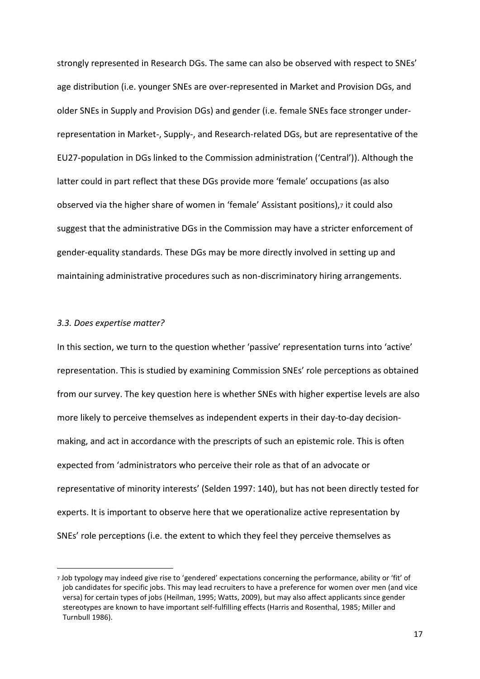strongly represented in Research DGs. The same can also be observed with respect to SNEs' age distribution (i.e. younger SNEs are over-represented in Market and Provision DGs, and older SNEs in Supply and Provision DGs) and gender (i.e. female SNEs face stronger underrepresentation in Market-, Supply-, and Research-related DGs, but are representative of the EU27-population in DGs linked to the Commission administration ('Central')). Although the latter could in part reflect that these DGs provide more 'female' occupations (as also observed via the higher share of women in 'female' Assistant positions),7 it could also suggest that the administrative DGs in the Commission may have a stricter enforcement of gender-equality standards. These DGs may be more directly involved in setting up and maintaining administrative procedures such as non-discriminatory hiring arrangements.

## *3.3. Does expertise matter?*

**.** 

In this section, we turn to the question whether 'passive' representation turns into 'active' representation. This is studied by examining Commission SNEs' role perceptions as obtained from our survey. The key question here is whether SNEs with higher expertise levels are also more likely to perceive themselves as independent experts in their day-to-day decisionmaking, and act in accordance with the prescripts of such an epistemic role. This is often expected from 'administrators who perceive their role as that of an advocate or representative of minority interests' (Selden 1997: 140), but has not been directly tested for experts. It is important to observe here that we operationalize active representation by SNEs' role perceptions (i.e. the extent to which they feel they perceive themselves as

<sup>7</sup> Job typology may indeed give rise to 'gendered' expectations concerning the performance, ability or 'fit' of job candidates for specific jobs. This may lead recruiters to have a preference for women over men (and vice versa) for certain types of jobs (Heilman, 1995; Watts, 2009), but may also affect applicants since gender stereotypes are known to have important self-fulfilling effects (Harris and Rosenthal, 1985; Miller and Turnbull 1986).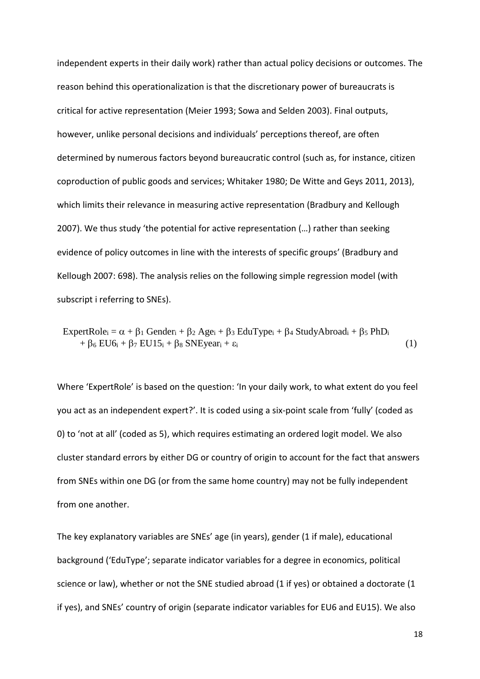independent experts in their daily work) rather than actual policy decisions or outcomes. The reason behind this operationalization is that the discretionary power of bureaucrats is critical for active representation (Meier 1993; Sowa and Selden 2003). Final outputs, however, unlike personal decisions and individuals' perceptions thereof, are often determined by numerous factors beyond bureaucratic control (such as, for instance, citizen coproduction of public goods and services; Whitaker 1980; De Witte and Geys 2011, 2013), which limits their relevance in measuring active representation (Bradbury and Kellough 2007). We thus study 'the potential for active representation (…) rather than seeking evidence of policy outcomes in line with the interests of specific groups' (Bradbury and Kellough 2007: 698). The analysis relies on the following simple regression model (with subscript i referring to SNEs).

 $\text{ExpertRole}_i = \alpha + \beta_1 \text{Gender}_i + \beta_2 \text{Age}_i + \beta_3 \text{EduType}_i + \beta_4 \text{StudyAbroad}_i + \beta_5 \text{PhD}_i$  $+ \beta_6 EU6_i + \beta_7 EU15_i + \beta_8 SNEyear_i + \epsilon_i$  (1)

Where 'ExpertRole' is based on the question: 'In your daily work, to what extent do you feel you act as an independent expert?'. It is coded using a six-point scale from 'fully' (coded as 0) to 'not at all' (coded as 5), which requires estimating an ordered logit model. We also cluster standard errors by either DG or country of origin to account for the fact that answers from SNEs within one DG (or from the same home country) may not be fully independent from one another.

The key explanatory variables are SNEs' age (in years), gender (1 if male), educational background ('EduType'; separate indicator variables for a degree in economics, political science or law), whether or not the SNE studied abroad (1 if yes) or obtained a doctorate (1 if yes), and SNEs' country of origin (separate indicator variables for EU6 and EU15). We also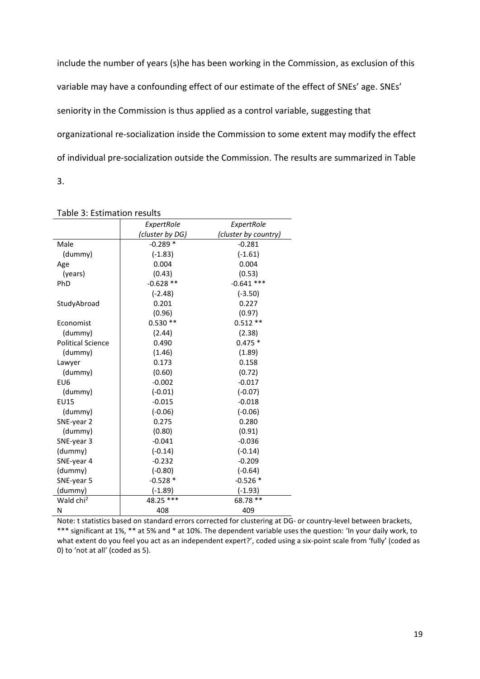include the number of years (s)he has been working in the Commission, as exclusion of this variable may have a confounding effect of our estimate of the effect of SNEs' age. SNEs' seniority in the Commission is thus applied as a control variable, suggesting that organizational re-socialization inside the Commission to some extent may modify the effect of individual pre-socialization outside the Commission. The results are summarized in Table 3.

|                          | ExpertRole      | ExpertRole           |  |
|--------------------------|-----------------|----------------------|--|
|                          | (cluster by DG) | (cluster by country) |  |
| Male                     | $-0.289*$       | $-0.281$             |  |
| (dummy)                  | $(-1.83)$       | $(-1.61)$            |  |
| Age                      | 0.004           | 0.004                |  |
| (years)                  | (0.43)          | (0.53)               |  |
| PhD                      | $-0.628**$      | $-0.641$ ***         |  |
|                          | $(-2.48)$       | $(-3.50)$            |  |
| StudyAbroad              | 0.201           | 0.227                |  |
|                          | (0.96)          | (0.97)               |  |
| Economist                | $0.530**$       | $0.512**$            |  |
| (dummy)                  | (2.44)          | (2.38)               |  |
| <b>Political Science</b> | 0.490           | $0.475*$             |  |
| (dummy)                  | (1.46)          | (1.89)               |  |
| Lawyer                   | 0.173           | 0.158                |  |
| (dummy)                  | (0.60)          | (0.72)               |  |
| EU <sub>6</sub>          | $-0.002$        | $-0.017$             |  |
| (dummy)                  | $(-0.01)$       | $(-0.07)$            |  |
| <b>EU15</b>              | $-0.015$        | $-0.018$             |  |
| (dummy)                  | $(-0.06)$       | $(-0.06)$            |  |
| SNE-year 2               | 0.275           | 0.280                |  |
| (dummy)                  | (0.80)          | (0.91)               |  |
| SNE-year 3               | $-0.041$        | $-0.036$             |  |
| (dummy)                  | $(-0.14)$       | $(-0.14)$            |  |
| SNE-year 4               | $-0.232$        | $-0.209$             |  |
| (dummy)                  | $(-0.80)$       | $(-0.64)$            |  |
| SNE-year 5               | $-0.528*$       | $-0.526*$            |  |
| (dummy)                  | $(-1.89)$       | $(-1.93)$            |  |
| Wald chi <sup>2</sup>    | 48.25 ***       | 68.78 **             |  |
| Ν                        | 408             | 409                  |  |

Table 3: Estimation results

Note: t statistics based on standard errors corrected for clustering at DG- or country-level between brackets, \*\*\* significant at 1%, \*\* at 5% and \* at 10%. The dependent variable uses the question: 'In your daily work, to what extent do you feel you act as an independent expert?', coded using a six-point scale from 'fully' (coded as 0) to 'not at all' (coded as 5).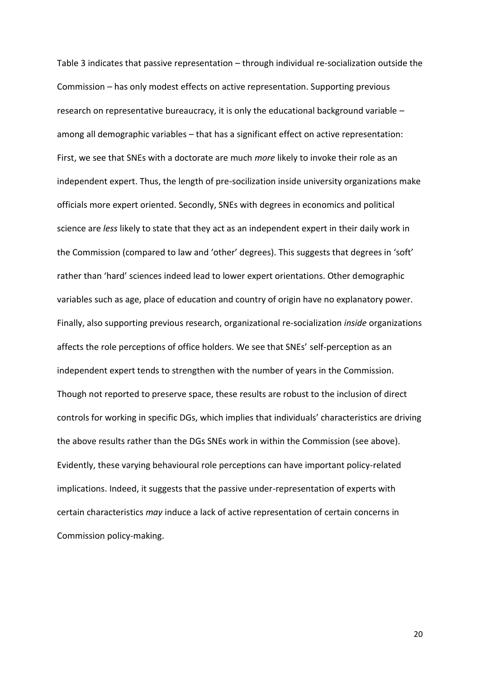Table 3 indicates that passive representation – through individual re-socialization outside the Commission – has only modest effects on active representation. Supporting previous research on representative bureaucracy, it is only the educational background variable – among all demographic variables – that has a significant effect on active representation: First, we see that SNEs with a doctorate are much *more* likely to invoke their role as an independent expert. Thus, the length of pre-socilization inside university organizations make officials more expert oriented. Secondly, SNEs with degrees in economics and political science are *less* likely to state that they act as an independent expert in their daily work in the Commission (compared to law and 'other' degrees). This suggests that degrees in 'soft' rather than 'hard' sciences indeed lead to lower expert orientations. Other demographic variables such as age, place of education and country of origin have no explanatory power. Finally, also supporting previous research, organizational re-socialization *inside* organizations affects the role perceptions of office holders. We see that SNEs' self-perception as an independent expert tends to strengthen with the number of years in the Commission. Though not reported to preserve space, these results are robust to the inclusion of direct controls for working in specific DGs, which implies that individuals' characteristics are driving the above results rather than the DGs SNEs work in within the Commission (see above). Evidently, these varying behavioural role perceptions can have important policy-related implications. Indeed, it suggests that the passive under-representation of experts with certain characteristics *may* induce a lack of active representation of certain concerns in Commission policy-making.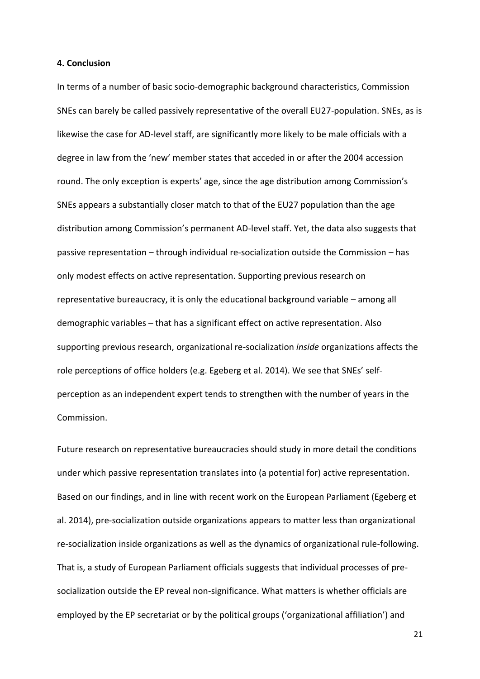#### **4. Conclusion**

In terms of a number of basic socio-demographic background characteristics, Commission SNEs can barely be called passively representative of the overall EU27-population. SNEs, as is likewise the case for AD-level staff, are significantly more likely to be male officials with a degree in law from the 'new' member states that acceded in or after the 2004 accession round. The only exception is experts' age, since the age distribution among Commission's SNEs appears a substantially closer match to that of the EU27 population than the age distribution among Commission's permanent AD-level staff. Yet, the data also suggests that passive representation – through individual re-socialization outside the Commission – has only modest effects on active representation. Supporting previous research on representative bureaucracy, it is only the educational background variable – among all demographic variables – that has a significant effect on active representation. Also supporting previous research, organizational re-socialization *inside* organizations affects the role perceptions of office holders (e.g. Egeberg et al. 2014). We see that SNEs' selfperception as an independent expert tends to strengthen with the number of years in the Commission.

Future research on representative bureaucracies should study in more detail the conditions under which passive representation translates into (a potential for) active representation. Based on our findings, and in line with recent work on the European Parliament (Egeberg et al. 2014), pre-socialization outside organizations appears to matter less than organizational re-socialization inside organizations as well as the dynamics of organizational rule-following. That is, a study of European Parliament officials suggests that individual processes of presocialization outside the EP reveal non-significance. What matters is whether officials are employed by the EP secretariat or by the political groups ('organizational affiliation') and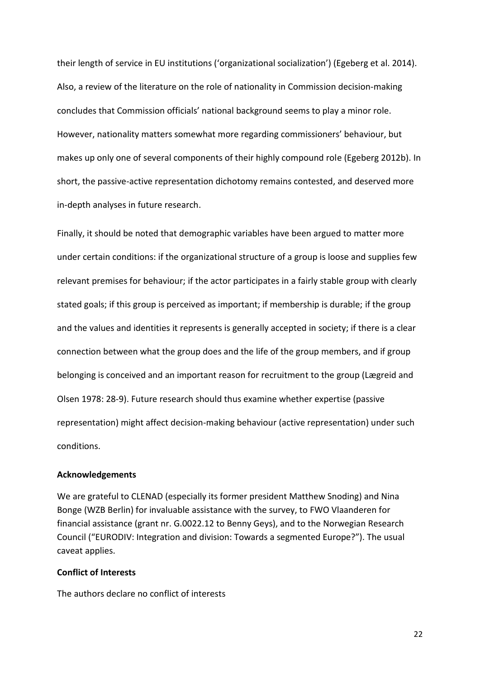their length of service in EU institutions ('organizational socialization') (Egeberg et al. 2014). Also, a review of the literature on the role of nationality in Commission decision-making concludes that Commission officials' national background seems to play a minor role. However, nationality matters somewhat more regarding commissioners' behaviour, but makes up only one of several components of their highly compound role (Egeberg 2012b). In short, the passive-active representation dichotomy remains contested, and deserved more in-depth analyses in future research.

Finally, it should be noted that demographic variables have been argued to matter more under certain conditions: if the organizational structure of a group is loose and supplies few relevant premises for behaviour; if the actor participates in a fairly stable group with clearly stated goals; if this group is perceived as important; if membership is durable; if the group and the values and identities it represents is generally accepted in society; if there is a clear connection between what the group does and the life of the group members, and if group belonging is conceived and an important reason for recruitment to the group (Lægreid and Olsen 1978: 28-9). Future research should thus examine whether expertise (passive representation) might affect decision-making behaviour (active representation) under such conditions.

## **Acknowledgements**

We are grateful to CLENAD (especially its former president Matthew Snoding) and Nina Bonge (WZB Berlin) for invaluable assistance with the survey, to FWO Vlaanderen for financial assistance (grant nr. G.0022.12 to Benny Geys), and to the Norwegian Research Council ("EURODIV: Integration and division: Towards a segmented Europe?"). The usual caveat applies.

## **Conflict of Interests**

The authors declare no conflict of interests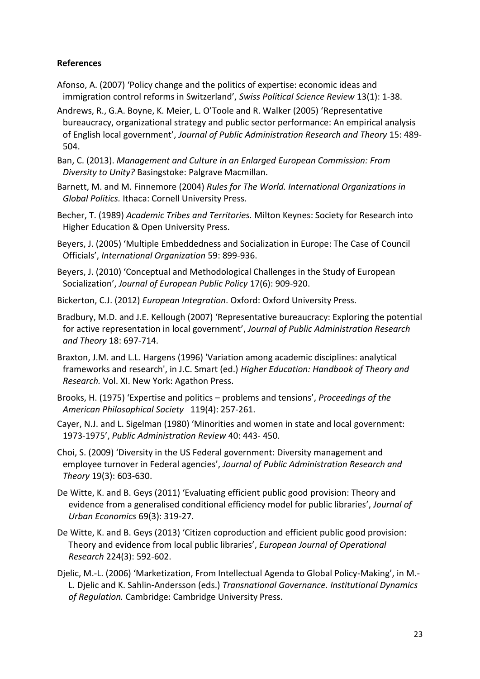# **References**

- Afonso, A. (2007) 'Policy change and the politics of expertise: economic ideas and immigration control reforms in Switzerland', *Swiss Political Science Review* 13(1): 1-38.
- Andrews, R., G.A. Boyne, K. Meier, L. O'Toole and R. Walker (2005) 'Representative bureaucracy, organizational strategy and public sector performance: An empirical analysis of English local government', *Journal of Public Administration Research and Theory* 15: 489- 504.
- Ban, C. (2013). *Management and Culture in an Enlarged European Commission: From Diversity to Unity?* Basingstoke: Palgrave Macmillan.
- Barnett, M. and M. Finnemore (2004) *Rules for The World. International Organizations in Global Politics.* Ithaca: Cornell University Press.
- Becher, T. (1989) *Academic Tribes and Territories.* Milton Keynes: Society for Research into Higher Education & Open University Press.
- Beyers, J. (2005) 'Multiple Embeddedness and Socialization in Europe: The Case of Council Officials', *International Organization* 59: 899-936.
- Beyers, J. (2010) 'Conceptual and Methodological Challenges in the Study of European Socialization', *Journal of European Public Policy* 17(6): 909-920.
- Bickerton, C.J. (2012) *European Integration*. Oxford: Oxford University Press.
- Bradbury, M.D. and J.E. Kellough (2007) 'Representative bureaucracy: Exploring the potential for active representation in local government', *Journal of Public Administration Research and Theory* 18: 697-714.
- Braxton, J.M. and L.L. Hargens (1996) 'Variation among academic disciplines: analytical frameworks and research', in J.C. Smart (ed.) *Higher Education: Handbook of Theory and Research.* Vol. XI. New York: Agathon Press.
- Brooks, H. (1975) 'Expertise and politics problems and tensions', *Proceedings of the American Philosophical Society* 119(4): 257-261.
- Cayer, N.J. and L. Sigelman (1980) 'Minorities and women in state and local government: 1973-1975', *Public Administration Review* 40: 443- 450.
- Choi, S. (2009) 'Diversity in the US Federal government: Diversity management and employee turnover in Federal agencies', *Journal of Public Administration Research and Theory* 19(3): 603-630.
- De Witte, K. and B. Geys (2011) 'Evaluating efficient public good provision: Theory and evidence from a generalised conditional efficiency model for public libraries', *Journal of Urban Economics* 69(3): 319-27.
- De Witte, K. and B. Geys (2013) 'Citizen coproduction and efficient public good provision: Theory and evidence from local public libraries', *European Journal of Operational Research* 224(3): 592-602.
- Djelic, M.-L. (2006) 'Marketization, From Intellectual Agenda to Global Policy-Making', in M.- L. Djelic and K. Sahlin-Andersson (eds.) *Transnational Governance. Institutional Dynamics of Regulation.* Cambridge: Cambridge University Press.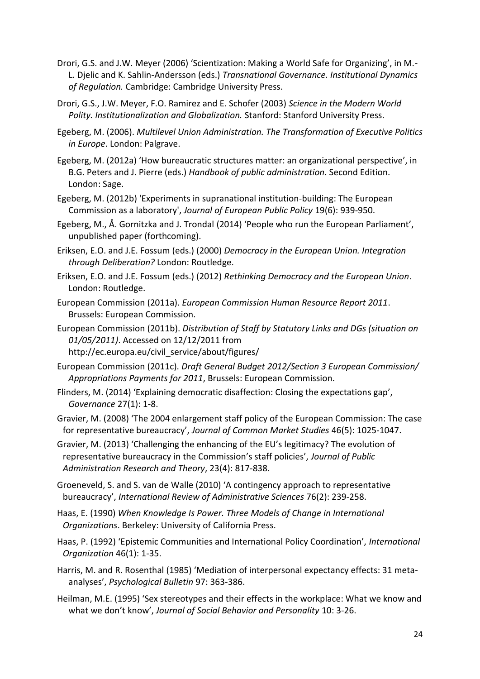- Drori, G.S. and J.W. Meyer (2006) 'Scientization: Making a World Safe for Organizing', in M.- L. Djelic and K. Sahlin-Andersson (eds.) *Transnational Governance. Institutional Dynamics of Regulation.* Cambridge: Cambridge University Press.
- Drori, G.S., J.W. Meyer, F.O. Ramirez and E. Schofer (2003) *Science in the Modern World Polity. Institutionalization and Globalization.* Stanford: Stanford University Press.
- Egeberg, M. (2006). *Multilevel Union Administration. The Transformation of Executive Politics in Europe*. London: Palgrave.
- Egeberg, M. (2012a) 'How bureaucratic structures matter: an organizational perspective', in B.G. Peters and J. Pierre (eds.) *Handbook of public administration*. Second Edition. London: Sage.
- Egeberg, M. (2012b) 'Experiments in supranational institution-building: The European Commission as a laboratory', *Journal of European Public Policy* 19(6): 939-950.
- Egeberg, M., Å. Gornitzka and J. Trondal (2014) 'People who run the European Parliament', unpublished paper (forthcoming).
- Eriksen, E.O. and J.E. Fossum (eds.) (2000) *Democracy in the European Union. Integration through Deliberation?* London: Routledge.
- Eriksen, E.O. and J.E. Fossum (eds.) (2012) *Rethinking Democracy and the European Union*. London: Routledge.
- European Commission (2011a). *European Commission Human Resource Report 2011*. Brussels: European Commission.
- European Commission (2011b). *Distribution of Staff by Statutory Links and DGs (situation on 01/05/2011)*. Accessed on 12/12/2011 from
	- http://ec.europa.eu/civil\_service/about/figures/
- European Commission (2011c). *Draft General Budget 2012/Section 3 European Commission/ Appropriations Payments for 2011*, Brussels: European Commission.
- Flinders, M. (2014) 'Explaining democratic disaffection: Closing the expectations gap', *Governance* 27(1): 1-8.
- Gravier, M. (2008) 'The 2004 enlargement staff policy of the European Commission: The case for representative bureaucracy', *Journal of Common Market Studies* 46(5): 1025-1047.
- Gravier, M. (2013) 'Challenging the enhancing of the EU's legitimacy? The evolution of representative bureaucracy in the Commission's staff policies', *Journal of Public Administration Research and Theory*, 23(4): 817-838.
- Groeneveld, S. and S. van de Walle (2010) 'A contingency approach to representative bureaucracy', *International Review of Administrative Sciences* 76(2): 239-258.
- Haas, E. (1990) *When Knowledge Is Power. Three Models of Change in International Organizations*. Berkeley: University of California Press.
- Haas, P. (1992) 'Epistemic Communities and International Policy Coordination', *International Organization* 46(1): 1-35.
- Harris, M. and R. Rosenthal (1985) 'Mediation of interpersonal expectancy effects: 31 metaanalyses', *Psychological Bulletin* 97: 363-386.
- Heilman, M.E. (1995) 'Sex stereotypes and their effects in the workplace: What we know and what we don't know', *Journal of Social Behavior and Personality* 10: 3-26.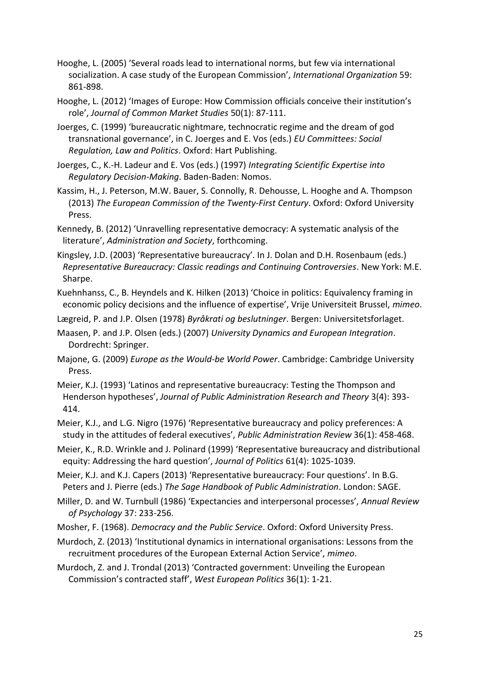- Hooghe, L. (2005) 'Several roads lead to international norms, but few via international socialization. A case study of the European Commission', *International Organization* 59: 861-898.
- Hooghe, L. (2012) 'Images of Europe: How Commission officials conceive their institution's role', *Journal of Common Market Studies* 50(1): 87-111.
- Joerges, C. (1999) 'bureaucratic nightmare, technocratic regime and the dream of god transnational governance', in C. Joerges and E. Vos (eds.) *EU Committees: Social Regulation, Law and Politics*. Oxford: Hart Publishing.
- Joerges, C., K.-H. Ladeur and E. Vos (eds.) (1997) *Integrating Scientific Expertise into Regulatory Decision-Making*. Baden-Baden: Nomos.
- Kassim, H., J. Peterson, M.W. Bauer, S. Connolly, R. Dehousse, L. Hooghe and A. Thompson (2013) *The European Commission of the Twenty-First Century*. Oxford: Oxford University Press.
- Kennedy, B. (2012) 'Unravelling representative democracy: A systematic analysis of the literature', *Administration and Society*, forthcoming.
- Kingsley, J.D. (2003) 'Representative bureaucracy'. In J. Dolan and D.H. Rosenbaum (eds.) *Representative Bureaucracy: Classic readings and Continuing Controversies*. New York: M.E. Sharpe.
- Kuehnhanss, C., B. Heyndels and K. Hilken (2013) 'Choice in politics: Equivalency framing in economic policy decisions and the influence of expertise', Vrije Universiteit Brussel, *mimeo*.
- Lægreid, P. and J.P. Olsen (1978) *Byråkrati og beslutninger*. Bergen: Universitetsforlaget.
- Maasen, P. and J.P. Olsen (eds.) (2007) *University Dynamics and European Integration*. Dordrecht: Springer.
- Majone, G. (2009) *Europe as the Would-be World Power*. Cambridge: Cambridge University Press.
- Meier, K.J. (1993) 'Latinos and representative bureaucracy: Testing the Thompson and Henderson hypotheses', *Journal of Public Administration Research and Theory* 3(4): 393- 414.
- Meier, K.J., and L.G. Nigro (1976) 'Representative bureaucracy and policy preferences: A study in the attitudes of federal executives', *Public Administration Review* 36(1): 458-468.
- Meier, K., R.D. Wrinkle and J. Polinard (1999) 'Representative bureaucracy and distributional equity: Addressing the hard question', *Journal of Politics* 61(4): 1025-1039.
- Meier, K.J. and K.J. Capers (2013) 'Representative bureaucracy: Four questions'. In B.G. Peters and J. Pierre (eds.) *The Sage Handbook of Public Administration*. London: SAGE.
- Miller, D. and W. Turnbull (1986) 'Expectancies and interpersonal processes', *Annual Review of Psychology* 37: 233-256.
- Mosher, F. (1968). *Democracy and the Public Service*. Oxford: Oxford University Press.
- Murdoch, Z. (2013) 'Institutional dynamics in international organisations: Lessons from the recruitment procedures of the European External Action Service', *mimeo*.
- Murdoch, Z. and J. Trondal (2013) 'Contracted government: Unveiling the European Commission's contracted staff', *West European Politics* 36(1): 1-21.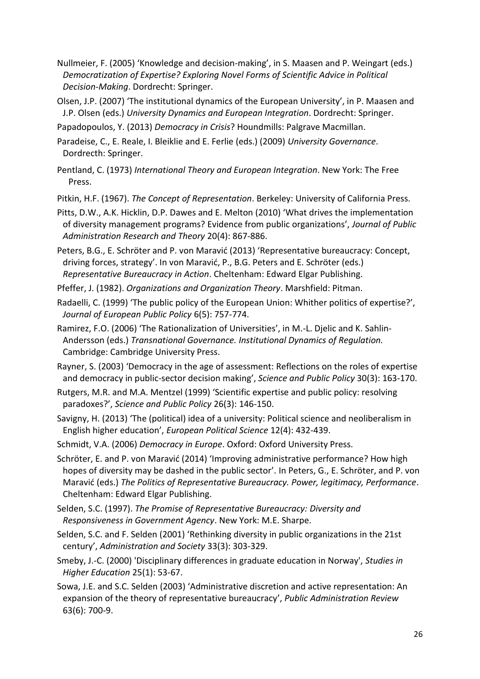- Nullmeier, F. (2005) 'Knowledge and decision-making', in S. Maasen and P. Weingart (eds.) *Democratization of Expertise? Exploring Novel Forms of Scientific Advice in Political Decision-Making*. Dordrecht: Springer.
- Olsen, J.P. (2007) 'The institutional dynamics of the European University', in P. Maasen and J.P. Olsen (eds.) *University Dynamics and European Integration*. Dordrecht: Springer.
- Papadopoulos, Y. (2013) *Democracy in Crisis*? Houndmills: Palgrave Macmillan.

Paradeise, C., E. Reale, I. Bleiklie and E. Ferlie (eds.) (2009) *University Governance*. Dordrecth: Springer.

- Pentland, C. (1973) *International Theory and European Integration*. New York: The Free Press.
- Pitkin, H.F. (1967). *The Concept of Representation*. Berkeley: University of California Press.

Pitts, D.W., A.K. Hicklin, D.P. Dawes and E. Melton (2010) 'What drives the implementation of diversity management programs? Evidence from public organizations', *Journal of Public Administration Research and Theory* 20(4): 867-886.

Peters, B.G., E. Schröter and P. von Maravić (2013) 'Representative bureaucracy: Concept, driving forces, strategy'. In von Maravić, P., B.G. Peters and E. Schröter (eds.) *Representative Bureaucracy in Action*. Cheltenham: Edward Elgar Publishing.

Pfeffer, J. (1982). *Organizations and Organization Theory*. Marshfield: Pitman.

Radaelli, C. (1999) 'The public policy of the European Union: Whither politics of expertise?', *Journal of European Public Policy* 6(5): 757-774.

Ramirez, F.O. (2006) 'The Rationalization of Universities', in M.-L. Djelic and K. Sahlin-Andersson (eds.) *Transnational Governance. Institutional Dynamics of Regulation.* Cambridge: Cambridge University Press.

Rayner, S. (2003) 'Democracy in the age of assessment: Reflections on the roles of expertise and democracy in public-sector decision making', *Science and Public Policy* 30(3): 163-170.

Rutgers, M.R. and M.A. Mentzel (1999) 'Scientific expertise and public policy: resolving paradoxes?', *Science and Public Policy* 26(3): 146-150.

Savigny, H. (2013) 'The (political) idea of a university: Political science and neoliberalism in English higher education', *European Political Science* 12(4): 432-439.

Schmidt, V.A. (2006) *Democracy in Europe*. Oxford: Oxford University Press.

Schröter, E. and P. von Maravić (2014) 'Improving administrative performance? How high hopes of diversity may be dashed in the public sector'. In Peters, G., E. Schröter, and P. von Maravić (eds.) *The Politics of Representative Bureaucracy. Power, legitimacy, Performance*. Cheltenham: Edward Elgar Publishing.

Selden, S.C. (1997). *The Promise of Representative Bureaucracy: Diversity and Responsiveness in Government Agency*. New York: M.E. Sharpe.

Selden, S.C. and F. Selden (2001) 'Rethinking diversity in public organizations in the 21st century', *Administration and Society* 33(3): 303-329.

Smeby, J.-C. (2000) 'Disciplinary differences in graduate education in Norway', *Studies in Higher Education* 25(1): 53-67.

Sowa, J.E. and S.C. Selden (2003) 'Administrative discretion and active representation: An expansion of the theory of representative bureaucracy', *Public Administration Review* 63(6): 700-9.